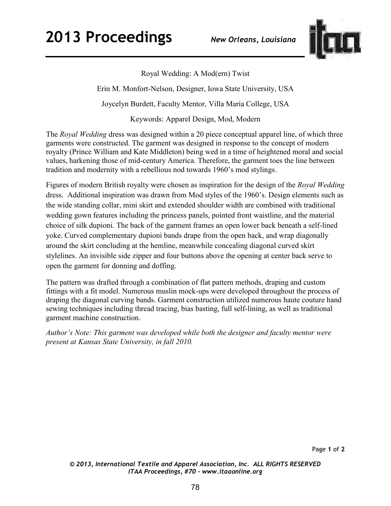

Royal Wedding: A Mod(ern) Twist Erin M. Monfort-Nelson, Designer, Iowa State University, USA Joycelyn Burdett, Faculty Mentor, Villa Maria College, USA

Keywords: Apparel Design, Mod, Modern

The *Royal Wedding* dress was designed within a 20 piece conceptual apparel line, of which three garments were constructed. The garment was designed in response to the concept of modern royalty (Prince William and Kate Middleton) being wed in a time of heightened moral and social values, harkening those of mid-century America. Therefore, the garment toes the line between tradition and modernity with a rebellious nod towards 1960's mod stylings.

Figures of modern British royalty were chosen as inspiration for the design of the *Royal Wedding* dress. Additional inspiration was drawn from Mod styles of the 1960's. Design elements such as the wide standing collar, mini skirt and extended shoulder width are combined with traditional wedding gown features including the princess panels, pointed front waistline, and the material choice of silk dupioni. The back of the garment frames an open lower back beneath a self-lined yoke. Curved complementary dupioni bands drape from the open back, and wrap diagonally around the skirt concluding at the hemline, meanwhile concealing diagonal curved skirt stylelines. An invisible side zipper and four buttons above the opening at center back serve to open the garment for donning and doffing.

The pattern was drafted through a combination of flat pattern methods, draping and custom fittings with a fit model. Numerous muslin mock-ups were developed throughout the process of draping the diagonal curving bands. Garment construction utilized numerous haute couture hand sewing techniques including thread tracing, bias basting, full self-lining, as well as traditional garment machine construction.

*Author's Note: This garment was developed while both the designer and faculty mentor were present at Kansas State University, in fall 2010.*